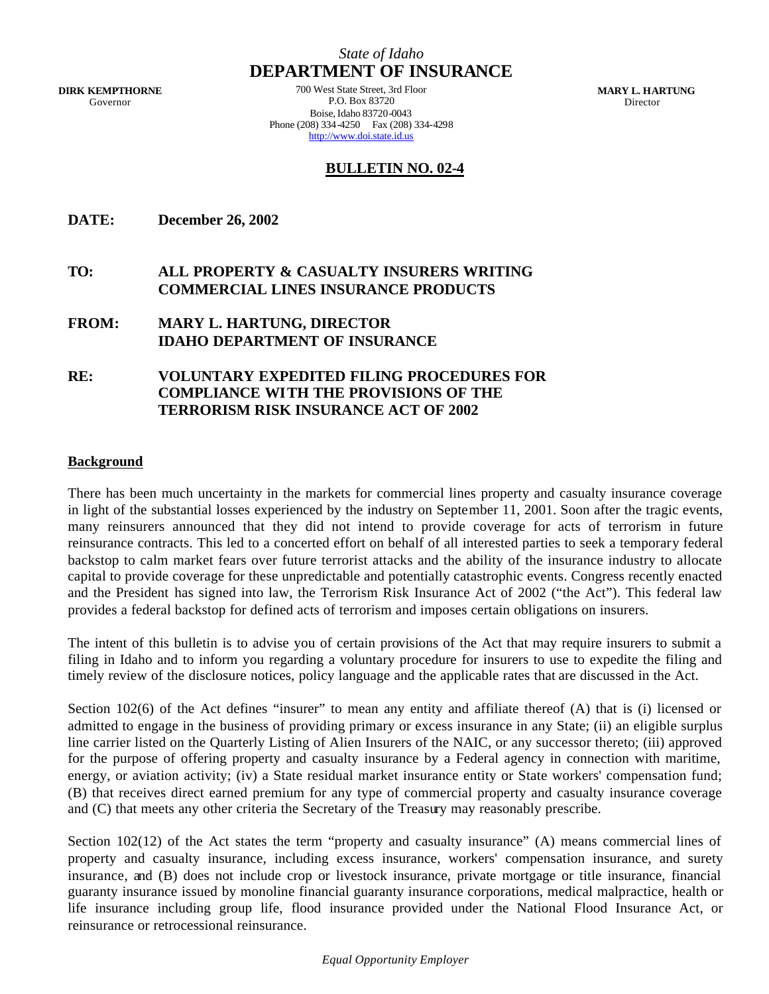**DIRK KEMPTHORNE** Governor

*State of Idaho* **DEPARTMENT OF INSURANCE**

700 West State Street, 3rd Floor P.O. Box 83720 Boise, Idaho 83720-0043 Phone (208) 334-4250 Fax (208) 334-4298 http://www.doi.state.id.us

 **MARY L. HARTUNG** Director

# **BULLETIN NO. 02-4**

**DATE: December 26, 2002**

# **TO: ALL PROPERTY & CASUALTY INSURERS WRITING COMMERCIAL LINES INSURANCE PRODUCTS**

- **FROM: MARY L. HARTUNG, DIRECTOR IDAHO DEPARTMENT OF INSURANCE**
- **RE: VOLUNTARY EXPEDITED FILING PROCEDURES FOR COMPLIANCE WITH THE PROVISIONS OF THE TERRORISM RISK INSURANCE ACT OF 2002**

### **Background**

There has been much uncertainty in the markets for commercial lines property and casualty insurance coverage in light of the substantial losses experienced by the industry on September 11, 2001. Soon after the tragic events, many reinsurers announced that they did not intend to provide coverage for acts of terrorism in future reinsurance contracts. This led to a concerted effort on behalf of all interested parties to seek a temporary federal backstop to calm market fears over future terrorist attacks and the ability of the insurance industry to allocate capital to provide coverage for these unpredictable and potentially catastrophic events. Congress recently enacted and the President has signed into law, the Terrorism Risk Insurance Act of 2002 ("the Act"). This federal law provides a federal backstop for defined acts of terrorism and imposes certain obligations on insurers.

The intent of this bulletin is to advise you of certain provisions of the Act that may require insurers to submit a filing in Idaho and to inform you regarding a voluntary procedure for insurers to use to expedite the filing and timely review of the disclosure notices, policy language and the applicable rates that are discussed in the Act.

Section 102(6) of the Act defines "insurer" to mean any entity and affiliate thereof (A) that is (i) licensed or admitted to engage in the business of providing primary or excess insurance in any State; (ii) an eligible surplus line carrier listed on the Quarterly Listing of Alien Insurers of the NAIC, or any successor thereto; (iii) approved for the purpose of offering property and casualty insurance by a Federal agency in connection with maritime, energy, or aviation activity; (iv) a State residual market insurance entity or State workers' compensation fund; (B) that receives direct earned premium for any type of commercial property and casualty insurance coverage and (C) that meets any other criteria the Secretary of the Treasury may reasonably prescribe.

Section 102(12) of the Act states the term "property and casualty insurance" (A) means commercial lines of property and casualty insurance, including excess insurance, workers' compensation insurance, and surety insurance, and (B) does not include crop or livestock insurance, private mortgage or title insurance, financial guaranty insurance issued by monoline financial guaranty insurance corporations, medical malpractice, health or life insurance including group life, flood insurance provided under the National Flood Insurance Act, or reinsurance or retrocessional reinsurance.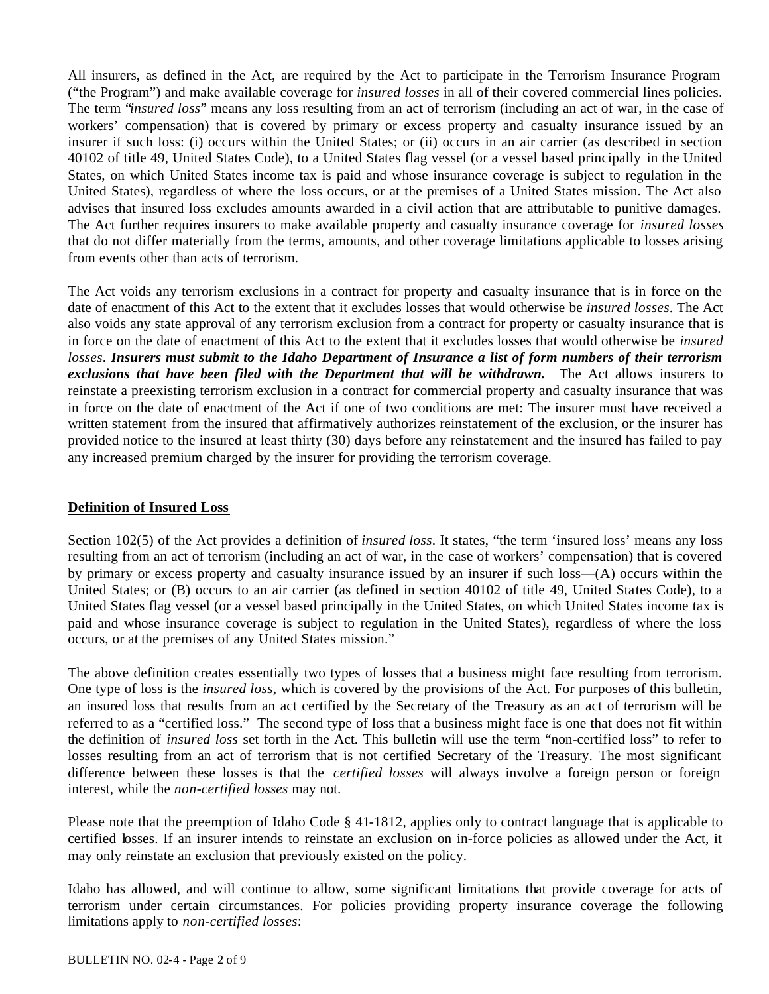All insurers, as defined in the Act, are required by the Act to participate in the Terrorism Insurance Program ("the Program") and make available coverage for *insured losses* in all of their covered commercial lines policies. The term "*insured loss*" means any loss resulting from an act of terrorism (including an act of war, in the case of workers' compensation) that is covered by primary or excess property and casualty insurance issued by an insurer if such loss: (i) occurs within the United States; or (ii) occurs in an air carrier (as described in section 40102 of title 49, United States Code), to a United States flag vessel (or a vessel based principally in the United States, on which United States income tax is paid and whose insurance coverage is subject to regulation in the United States), regardless of where the loss occurs, or at the premises of a United States mission. The Act also advises that insured loss excludes amounts awarded in a civil action that are attributable to punitive damages. The Act further requires insurers to make available property and casualty insurance coverage for *insured losses* that do not differ materially from the terms, amounts, and other coverage limitations applicable to losses arising from events other than acts of terrorism.

The Act voids any terrorism exclusions in a contract for property and casualty insurance that is in force on the date of enactment of this Act to the extent that it excludes losses that would otherwise be *insured losses*. The Act also voids any state approval of any terrorism exclusion from a contract for property or casualty insurance that is in force on the date of enactment of this Act to the extent that it excludes losses that would otherwise be *insured losses*. *Insurers must submit to the Idaho Department of Insurance a list of form numbers of their terrorism exclusions that have been filed with the Department that will be withdrawn.* The Act allows insurers to reinstate a preexisting terrorism exclusion in a contract for commercial property and casualty insurance that was in force on the date of enactment of the Act if one of two conditions are met: The insurer must have received a written statement from the insured that affirmatively authorizes reinstatement of the exclusion, or the insurer has provided notice to the insured at least thirty (30) days before any reinstatement and the insured has failed to pay any increased premium charged by the insurer for providing the terrorism coverage.

# **Definition of Insured Loss**

Section 102(5) of the Act provides a definition of *insured loss*. It states, "the term 'insured loss' means any loss resulting from an act of terrorism (including an act of war, in the case of workers' compensation) that is covered by primary or excess property and casualty insurance issued by an insurer if such loss—(A) occurs within the United States; or (B) occurs to an air carrier (as defined in section 40102 of title 49, United States Code), to a United States flag vessel (or a vessel based principally in the United States, on which United States income tax is paid and whose insurance coverage is subject to regulation in the United States), regardless of where the loss occurs, or at the premises of any United States mission."

The above definition creates essentially two types of losses that a business might face resulting from terrorism. One type of loss is the *insured loss*, which is covered by the provisions of the Act. For purposes of this bulletin, an insured loss that results from an act certified by the Secretary of the Treasury as an act of terrorism will be referred to as a "certified loss." The second type of loss that a business might face is one that does not fit within the definition of *insured loss* set forth in the Act. This bulletin will use the term "non-certified loss" to refer to losses resulting from an act of terrorism that is not certified Secretary of the Treasury. The most significant difference between these losses is that the *certified losses* will always involve a foreign person or foreign interest, while the *non-certified losses* may not.

Please note that the preemption of Idaho Code § 41-1812, applies only to contract language that is applicable to certified losses. If an insurer intends to reinstate an exclusion on in-force policies as allowed under the Act, it may only reinstate an exclusion that previously existed on the policy.

Idaho has allowed, and will continue to allow, some significant limitations that provide coverage for acts of terrorism under certain circumstances. For policies providing property insurance coverage the following limitations apply to *non-certified losses*: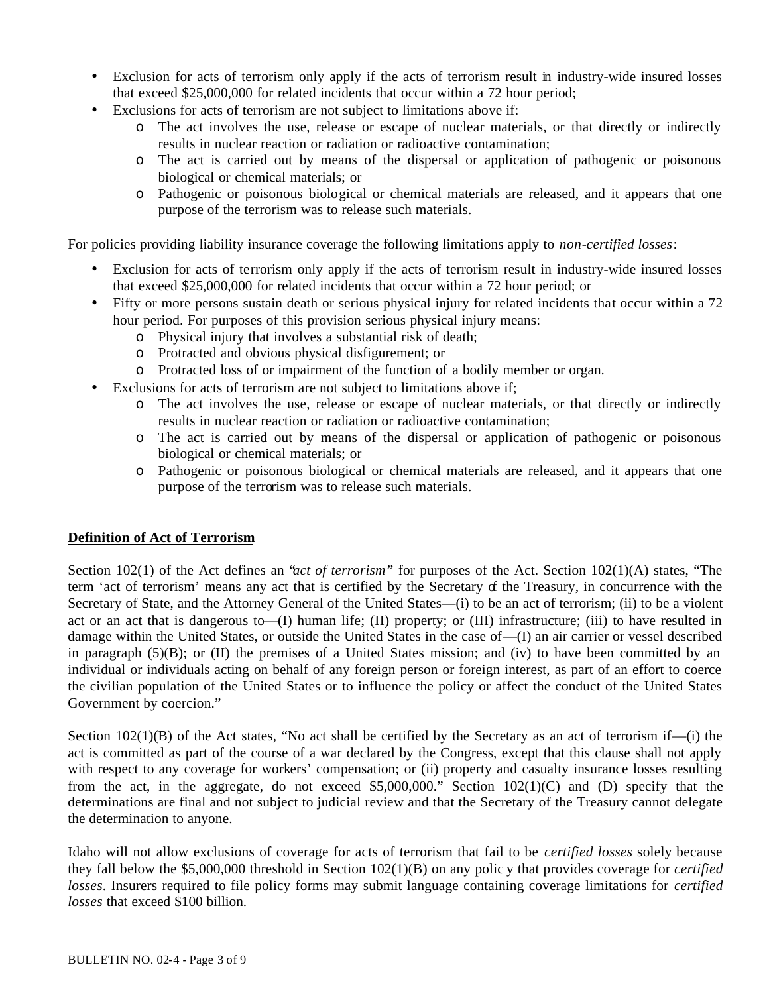- Exclusion for acts of terrorism only apply if the acts of terrorism result in industry-wide insured losses that exceed \$25,000,000 for related incidents that occur within a 72 hour period;
- Exclusions for acts of terrorism are not subject to limitations above if:
	- o The act involves the use, release or escape of nuclear materials, or that directly or indirectly results in nuclear reaction or radiation or radioactive contamination;
	- o The act is carried out by means of the dispersal or application of pathogenic or poisonous biological or chemical materials; or
	- o Pathogenic or poisonous biological or chemical materials are released, and it appears that one purpose of the terrorism was to release such materials.

For policies providing liability insurance coverage the following limitations apply to *non-certified losses*:

- Exclusion for acts of terrorism only apply if the acts of terrorism result in industry-wide insured losses that exceed \$25,000,000 for related incidents that occur within a 72 hour period; or
- Fifty or more persons sustain death or serious physical injury for related incidents that occur within a 72 hour period. For purposes of this provision serious physical injury means:
	- o Physical injury that involves a substantial risk of death;
	- o Protracted and obvious physical disfigurement; or
	- o Protracted loss of or impairment of the function of a bodily member or organ.
- Exclusions for acts of terrorism are not subject to limitations above if;
	- o The act involves the use, release or escape of nuclear materials, or that directly or indirectly results in nuclear reaction or radiation or radioactive contamination;
	- o The act is carried out by means of the dispersal or application of pathogenic or poisonous biological or chemical materials; or
	- o Pathogenic or poisonous biological or chemical materials are released, and it appears that one purpose of the terrorism was to release such materials.

# **Definition of Act of Terrorism**

Section 102(1) of the Act defines an "*act of terrorism"* for purposes of the Act. Section 102(1)(A) states, "The term 'act of terrorism' means any act that is certified by the Secretary of the Treasury, in concurrence with the Secretary of State, and the Attorney General of the United States—(i) to be an act of terrorism; (ii) to be a violent act or an act that is dangerous to—(I) human life; (II) property; or (III) infrastructure; (iii) to have resulted in damage within the United States, or outside the United States in the case of—(I) an air carrier or vessel described in paragraph (5)(B); or (II) the premises of a United States mission; and (iv) to have been committed by an individual or individuals acting on behalf of any foreign person or foreign interest, as part of an effort to coerce the civilian population of the United States or to influence the policy or affect the conduct of the United States Government by coercion."

Section  $102(1)(B)$  of the Act states, "No act shall be certified by the Secretary as an act of terrorism if—(i) the act is committed as part of the course of a war declared by the Congress, except that this clause shall not apply with respect to any coverage for workers' compensation; or (ii) property and casualty insurance losses resulting from the act, in the aggregate, do not exceed \$5,000,000." Section 102(1)(C) and (D) specify that the determinations are final and not subject to judicial review and that the Secretary of the Treasury cannot delegate the determination to anyone.

Idaho will not allow exclusions of coverage for acts of terrorism that fail to be *certified losses* solely because they fall below the \$5,000,000 threshold in Section 102(1)(B) on any polic y that provides coverage for *certified losses*. Insurers required to file policy forms may submit language containing coverage limitations for *certified losses* that exceed \$100 billion.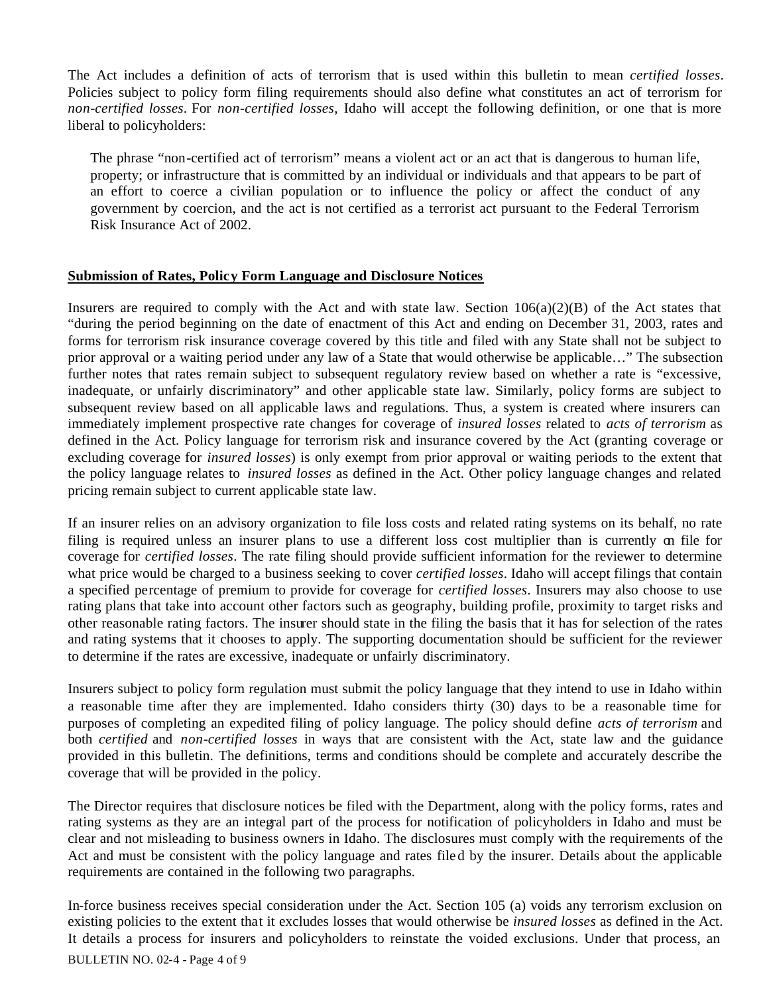The Act includes a definition of acts of terrorism that is used within this bulletin to mean *certified losses*. Policies subject to policy form filing requirements should also define what constitutes an act of terrorism for *non-certified losses*. For *non-certified losses*, Idaho will accept the following definition, or one that is more liberal to policyholders:

The phrase "non-certified act of terrorism" means a violent act or an act that is dangerous to human life, property; or infrastructure that is committed by an individual or individuals and that appears to be part of an effort to coerce a civilian population or to influence the policy or affect the conduct of any government by coercion, and the act is not certified as a terrorist act pursuant to the Federal Terrorism Risk Insurance Act of 2002.

## **Submission of Rates, Policy Form Language and Disclosure Notices**

Insurers are required to comply with the Act and with state law. Section  $106(a)(2)(B)$  of the Act states that "during the period beginning on the date of enactment of this Act and ending on December 31, 2003, rates and forms for terrorism risk insurance coverage covered by this title and filed with any State shall not be subject to prior approval or a waiting period under any law of a State that would otherwise be applicable…" The subsection further notes that rates remain subject to subsequent regulatory review based on whether a rate is "excessive, inadequate, or unfairly discriminatory" and other applicable state law. Similarly, policy forms are subject to subsequent review based on all applicable laws and regulations. Thus, a system is created where insurers can immediately implement prospective rate changes for coverage of *insured losses* related to *acts of terrorism* as defined in the Act. Policy language for terrorism risk and insurance covered by the Act (granting coverage or excluding coverage for *insured losses*) is only exempt from prior approval or waiting periods to the extent that the policy language relates to *insured losses* as defined in the Act. Other policy language changes and related pricing remain subject to current applicable state law.

If an insurer relies on an advisory organization to file loss costs and related rating systems on its behalf, no rate filing is required unless an insurer plans to use a different loss cost multiplier than is currently on file for coverage for *certified losses*. The rate filing should provide sufficient information for the reviewer to determine what price would be charged to a business seeking to cover *certified losses*. Idaho will accept filings that contain a specified percentage of premium to provide for coverage for *certified losses*. Insurers may also choose to use rating plans that take into account other factors such as geography, building profile, proximity to target risks and other reasonable rating factors. The insurer should state in the filing the basis that it has for selection of the rates and rating systems that it chooses to apply. The supporting documentation should be sufficient for the reviewer to determine if the rates are excessive, inadequate or unfairly discriminatory.

Insurers subject to policy form regulation must submit the policy language that they intend to use in Idaho within a reasonable time after they are implemented. Idaho considers thirty (30) days to be a reasonable time for purposes of completing an expedited filing of policy language. The policy should define *acts of terrorism* and both *certified* and *non-certified losses* in ways that are consistent with the Act, state law and the guidance provided in this bulletin. The definitions, terms and conditions should be complete and accurately describe the coverage that will be provided in the policy.

The Director requires that disclosure notices be filed with the Department, along with the policy forms, rates and rating systems as they are an integral part of the process for notification of policyholders in Idaho and must be clear and not misleading to business owners in Idaho. The disclosures must comply with the requirements of the Act and must be consistent with the policy language and rates file d by the insurer. Details about the applicable requirements are contained in the following two paragraphs.

In-force business receives special consideration under the Act. Section 105 (a) voids any terrorism exclusion on existing policies to the extent that it excludes losses that would otherwise be *insured losses* as defined in the Act. It details a process for insurers and policyholders to reinstate the voided exclusions. Under that process, an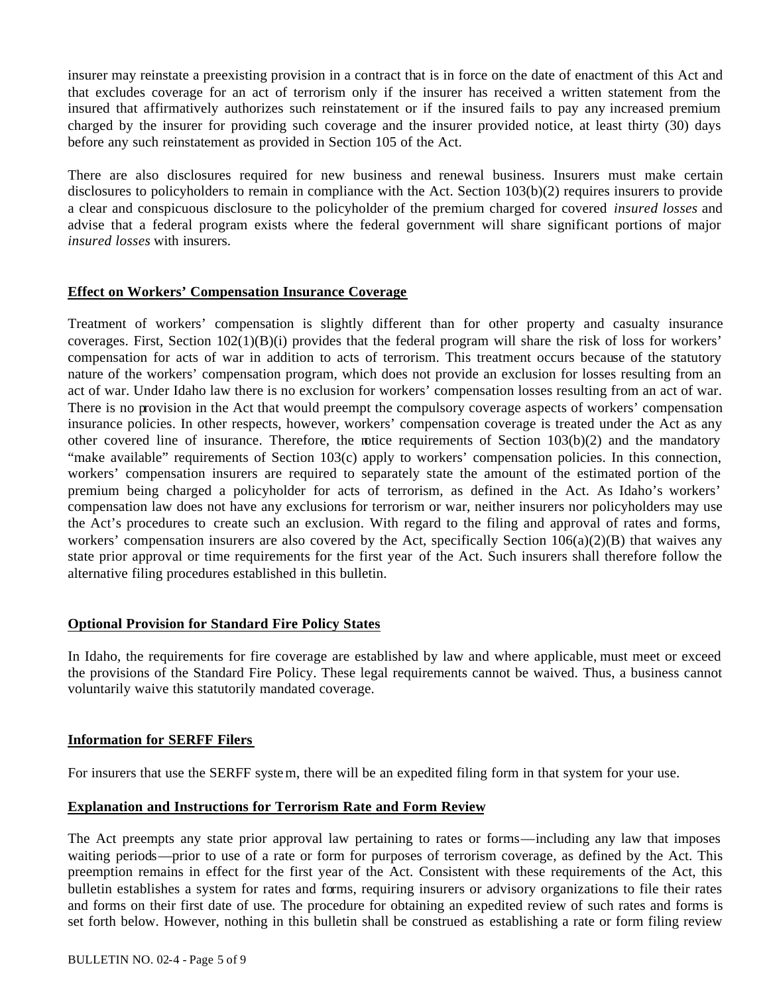insurer may reinstate a preexisting provision in a contract that is in force on the date of enactment of this Act and that excludes coverage for an act of terrorism only if the insurer has received a written statement from the insured that affirmatively authorizes such reinstatement or if the insured fails to pay any increased premium charged by the insurer for providing such coverage and the insurer provided notice, at least thirty (30) days before any such reinstatement as provided in Section 105 of the Act.

There are also disclosures required for new business and renewal business. Insurers must make certain disclosures to policyholders to remain in compliance with the Act. Section 103(b)(2) requires insurers to provide a clear and conspicuous disclosure to the policyholder of the premium charged for covered *insured losses* and advise that a federal program exists where the federal government will share significant portions of major *insured losses* with insurers.

## **Effect on Workers' Compensation Insurance Coverage**

Treatment of workers' compensation is slightly different than for other property and casualty insurance coverages. First, Section  $102(1)(B)(i)$  provides that the federal program will share the risk of loss for workers' compensation for acts of war in addition to acts of terrorism. This treatment occurs because of the statutory nature of the workers' compensation program, which does not provide an exclusion for losses resulting from an act of war. Under Idaho law there is no exclusion for workers' compensation losses resulting from an act of war. There is no provision in the Act that would preempt the compulsory coverage aspects of workers' compensation insurance policies. In other respects, however, workers' compensation coverage is treated under the Act as any other covered line of insurance. Therefore, the notice requirements of Section  $103(b)(2)$  and the mandatory "make available" requirements of Section 103(c) apply to workers' compensation policies. In this connection, workers' compensation insurers are required to separately state the amount of the estimated portion of the premium being charged a policyholder for acts of terrorism, as defined in the Act. As Idaho's workers' compensation law does not have any exclusions for terrorism or war, neither insurers nor policyholders may use the Act's procedures to create such an exclusion. With regard to the filing and approval of rates and forms, workers' compensation insurers are also covered by the Act, specifically Section  $106(a)(2)(B)$  that waives any state prior approval or time requirements for the first year of the Act. Such insurers shall therefore follow the alternative filing procedures established in this bulletin.

## **Optional Provision for Standard Fire Policy States**

In Idaho, the requirements for fire coverage are established by law and where applicable, must meet or exceed the provisions of the Standard Fire Policy. These legal requirements cannot be waived. Thus, a business cannot voluntarily waive this statutorily mandated coverage.

### **Information for SERFF Filers**

For insurers that use the SERFF system, there will be an expedited filing form in that system for your use.

## **Explanation and Instructions for Terrorism Rate and Form Review**

The Act preempts any state prior approval law pertaining to rates or forms—including any law that imposes waiting periods—prior to use of a rate or form for purposes of terrorism coverage, as defined by the Act. This preemption remains in effect for the first year of the Act. Consistent with these requirements of the Act, this bulletin establishes a system for rates and forms, requiring insurers or advisory organizations to file their rates and forms on their first date of use*.* The procedure for obtaining an expedited review of such rates and forms is set forth below. However, nothing in this bulletin shall be construed as establishing a rate or form filing review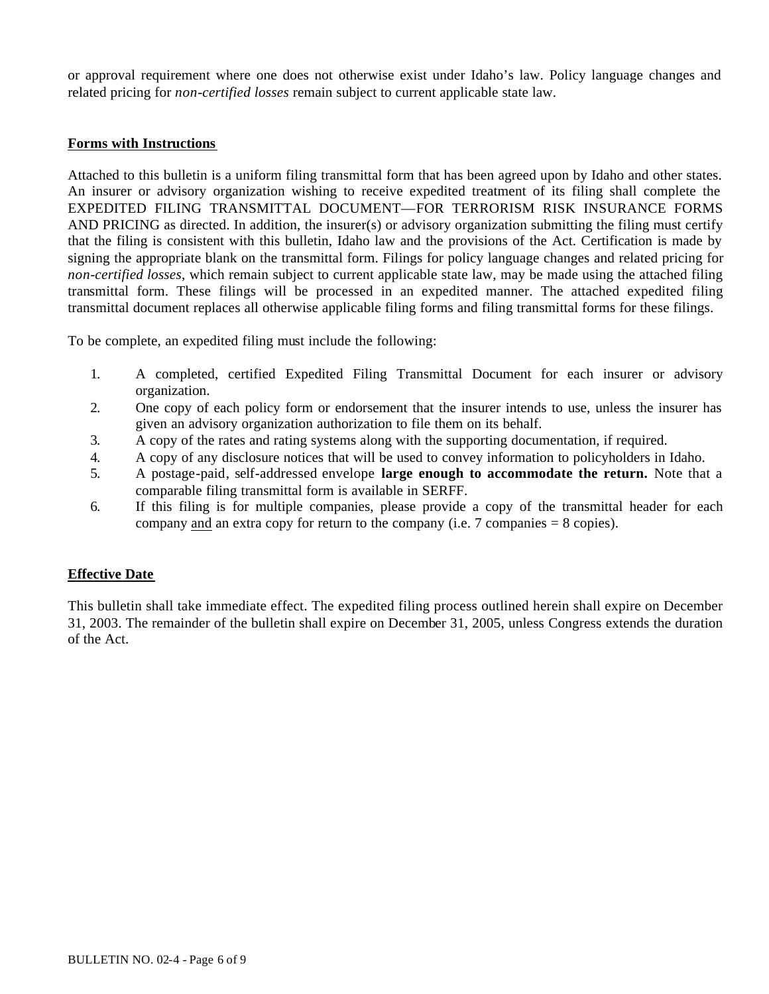or approval requirement where one does not otherwise exist under Idaho's law. Policy language changes and related pricing for *non-certified losses* remain subject to current applicable state law.

## **Forms with Instructions**

Attached to this bulletin is a uniform filing transmittal form that has been agreed upon by Idaho and other states. An insurer or advisory organization wishing to receive expedited treatment of its filing shall complete the EXPEDITED FILING TRANSMITTAL DOCUMENT—FOR TERRORISM RISK INSURANCE FORMS AND PRICING as directed. In addition, the insurer(s) or advisory organization submitting the filing must certify that the filing is consistent with this bulletin, Idaho law and the provisions of the Act. Certification is made by signing the appropriate blank on the transmittal form. Filings for policy language changes and related pricing for *non-certified losses*, which remain subject to current applicable state law, may be made using the attached filing transmittal form. These filings will be processed in an expedited manner. The attached expedited filing transmittal document replaces all otherwise applicable filing forms and filing transmittal forms for these filings.

To be complete, an expedited filing must include the following:

- 1. A completed, certified Expedited Filing Transmittal Document for each insurer or advisory organization.
- 2. One copy of each policy form or endorsement that the insurer intends to use, unless the insurer has given an advisory organization authorization to file them on its behalf.
- 3. A copy of the rates and rating systems along with the supporting documentation, if required.
- 4. A copy of any disclosure notices that will be used to convey information to policyholders in Idaho.
- 5. A postage-paid, self-addressed envelope **large enough to accommodate the return.** Note that a comparable filing transmittal form is available in SERFF.
- 6. If this filing is for multiple companies, please provide a copy of the transmittal header for each company and an extra copy for return to the company (i.e.  $7$  companies  $= 8$  copies).

## **Effective Date**

This bulletin shall take immediate effect. The expedited filing process outlined herein shall expire on December 31, 2003. The remainder of the bulletin shall expire on December 31, 2005, unless Congress extends the duration of the Act.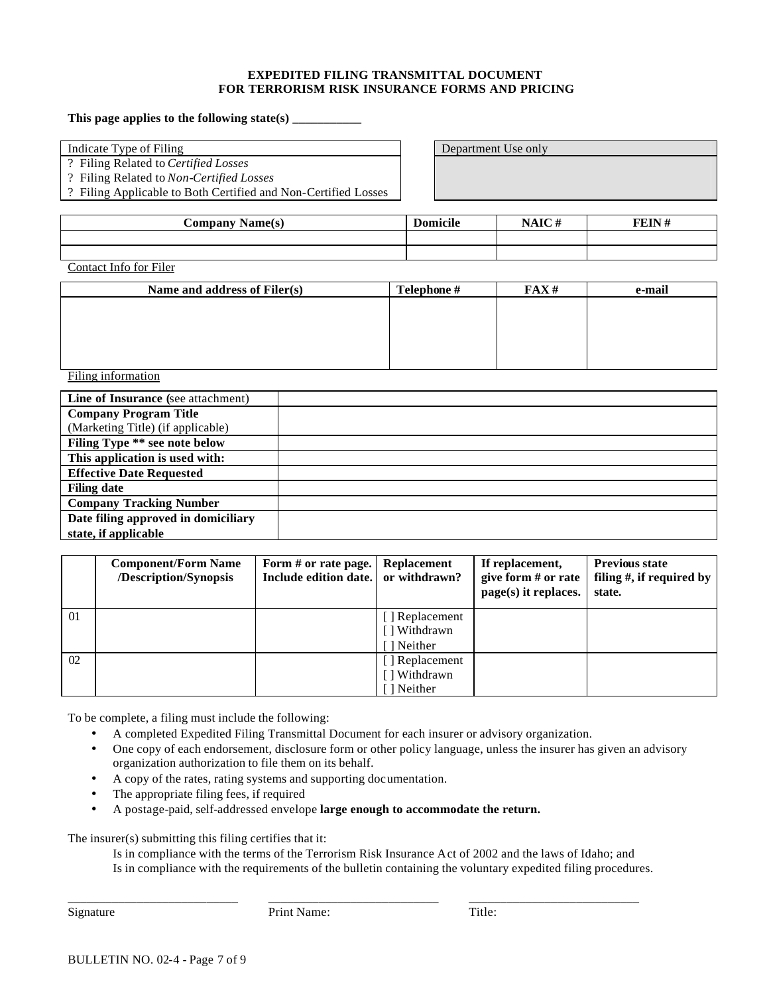#### **EXPEDITED FILING TRANSMITTAL DOCUMENT FOR TERRORISM RISK INSURANCE FORMS AND PRICING**

#### **This page applies to the following state(s) \_\_\_\_\_\_\_\_\_\_\_**

Indicate Type of Filing  $\Box$  Department Use only

? Filing Related to *Certified Losses*

? Filing Related to *Non-Certified Losses*

? Filing Applicable to Both Certified and Non-Certified Losses

| Company Name(s) | <b>Domicile</b> | NAIC# | $FFIN$ $#$ |
|-----------------|-----------------|-------|------------|
|                 |                 |       |            |
|                 |                 |       |            |

Contact Info for Filer

| Name and address of Filer(s) | Telephone # | FAX# | e-mail |
|------------------------------|-------------|------|--------|
|                              |             |      |        |
|                              |             |      |        |
|                              |             |      |        |
|                              |             |      |        |
|                              |             |      |        |

Filing information

| Line of Insurance (see attachment)  |  |
|-------------------------------------|--|
| <b>Company Program Title</b>        |  |
| (Marketing Title) (if applicable)   |  |
| Filing Type ** see note below       |  |
| This application is used with:      |  |
| <b>Effective Date Requested</b>     |  |
| <b>Filing date</b>                  |  |
| <b>Company Tracking Number</b>      |  |
| Date filing approved in domiciliary |  |
| state, if applicable                |  |

|    | <b>Component/Form Name</b><br>/Description/Synopsis | Form # or rate page.<br>Include edition date. or withdrawn? | <b>Replacement</b> | If replacement,<br>give form $#$ or rate<br>page(s) it replaces. | <b>Previous state</b><br>filing $#$ , if required by<br>state. |
|----|-----------------------------------------------------|-------------------------------------------------------------|--------------------|------------------------------------------------------------------|----------------------------------------------------------------|
| 01 |                                                     |                                                             | [] Replacement     |                                                                  |                                                                |
|    |                                                     |                                                             | [] Withdrawn       |                                                                  |                                                                |
|    |                                                     |                                                             | [ ] Neither        |                                                                  |                                                                |
| 02 |                                                     |                                                             | [] Replacement     |                                                                  |                                                                |
|    |                                                     |                                                             | [ ] Withdrawn      |                                                                  |                                                                |
|    |                                                     |                                                             | [] Neither         |                                                                  |                                                                |

To be complete, a filing must include the following:

- A completed Expedited Filing Transmittal Document for each insurer or advisory organization.
- One copy of each endorsement, disclosure form or other policy language, unless the insurer has given an advisory organization authorization to file them on its behalf.
- A copy of the rates, rating systems and supporting documentation.
- The appropriate filing fees, if required
- A postage-paid, self-addressed envelope **large enough to accommodate the return.**

The insurer(s) submitting this filing certifies that it:

Is in compliance with the terms of the Terrorism Risk Insurance Act of 2002 and the laws of Idaho; and Is in compliance with the requirements of the bulletin containing the voluntary expedited filing procedures.

\_\_\_\_\_\_\_\_\_\_\_\_\_\_\_\_\_\_\_\_\_\_\_\_\_\_\_ \_\_\_\_\_\_\_\_\_\_\_\_\_\_\_\_\_\_\_\_\_\_\_\_\_\_\_ \_\_\_\_\_\_\_\_\_\_\_\_\_\_\_\_\_\_\_\_\_\_\_\_\_\_\_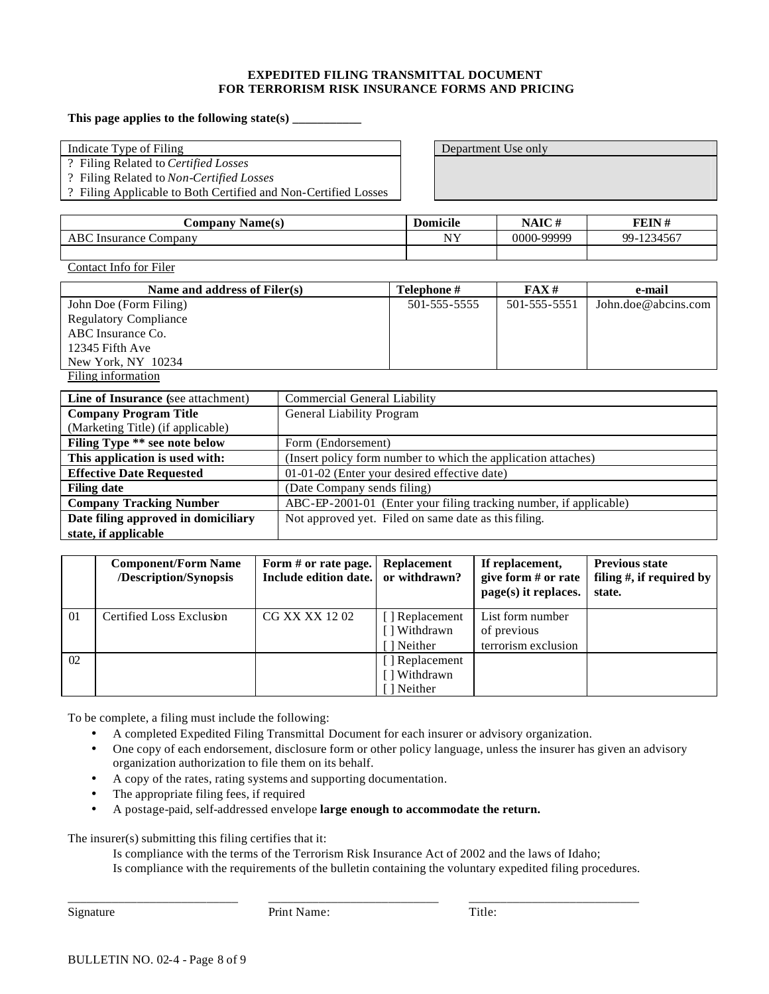#### **EXPEDITED FILING TRANSMITTAL DOCUMENT FOR TERRORISM RISK INSURANCE FORMS AND PRICING**

#### **This page applies to the following state(s) \_\_\_\_\_\_\_\_\_\_\_**

Indicate Type of Filing  $\Box$  Department Use only

? Filing Related to *Certified Losses*

? Filing Related to *Non-Certified Losses*

? Filing Applicable to Both Certified and Non-Certified Losses

| <b>€ompany</b><br><b>Name(s)</b> | <b>Domicile</b> | <b>NAIC#</b> | <b>FEIN#</b>     |
|----------------------------------|-----------------|--------------|------------------|
| ABC<br>Insurance Company         | NY              | 0000-99999   | 4567<br>$99 - 1$ |
|                                  |                 |              |                  |

Contact Info for Filer

| Name and address of Filer(s) | <b>Telephone</b> # | FAX#         | e-mail              |
|------------------------------|--------------------|--------------|---------------------|
| John Doe (Form Filing)       | 501-555-5555       | 501-555-5551 | John.doe@abcins.com |
| <b>Regulatory Compliance</b> |                    |              |                     |
| ABC Insurance Co.            |                    |              |                     |
| 12345 Fifth Ave              |                    |              |                     |
| New York, NY 10234           |                    |              |                     |
| Filing information           |                    |              |                     |

| Line of Insurance (see attachment)   | <b>Commercial General Liability</b>                               |
|--------------------------------------|-------------------------------------------------------------------|
| <b>Company Program Title</b>         | General Liability Program                                         |
| (Marketing Title) (if applicable)    |                                                                   |
| <b>Filing Type ** see note below</b> | Form (Endorsement)                                                |
| This application is used with:       | (Insert policy form number to which the application attaches)     |
| <b>Effective Date Requested</b>      | 01-01-02 (Enter your desired effective date)                      |
| <b>Filing date</b>                   | (Date Company sends filing)                                       |
| <b>Company Tracking Number</b>       | ABC-EP-2001-01 (Enter your filing tracking number, if applicable) |
| Date filing approved in domiciliary  | Not approved yet. Filed on same date as this filing.              |
| state, if applicable                 |                                                                   |

|          | <b>Component/Form Name</b><br>/Description/Synopsis | Form # or rate page.<br>Include edition date. or withdrawn? | <b>Replacement</b>                          | If replacement,<br>give form $#$ or rate<br>$page(s)$ it replaces. | <b>Previous state</b><br>filing $#$ , if required by<br>state. |
|----------|-----------------------------------------------------|-------------------------------------------------------------|---------------------------------------------|--------------------------------------------------------------------|----------------------------------------------------------------|
| $\Omega$ | Certified Loss Exclusion                            | CG XX XX 1202                                               | [] Replacement<br>[] Withdrawn<br>I Neither | List form number<br>of previous<br>terrorism exclusion             |                                                                |
| 02       |                                                     |                                                             | [] Replacement<br>[] Withdrawn<br>1 Neither |                                                                    |                                                                |

To be complete, a filing must include the following:

- A completed Expedited Filing Transmittal Document for each insurer or advisory organization.
- One copy of each endorsement, disclosure form or other policy language, unless the insurer has given an advisory organization authorization to file them on its behalf.
- A copy of the rates, rating systems and supporting documentation.
- The appropriate filing fees, if required
- A postage-paid, self-addressed envelope **large enough to accommodate the return.**

The insurer(s) submitting this filing certifies that it:

Is compliance with the terms of the Terrorism Risk Insurance Act of 2002 and the laws of Idaho; Is compliance with the requirements of the bulletin containing the voluntary expedited filing procedures.

\_\_\_\_\_\_\_\_\_\_\_\_\_\_\_\_\_\_\_\_\_\_\_\_\_\_\_ \_\_\_\_\_\_\_\_\_\_\_\_\_\_\_\_\_\_\_\_\_\_\_\_\_\_\_ \_\_\_\_\_\_\_\_\_\_\_\_\_\_\_\_\_\_\_\_\_\_\_\_\_\_\_